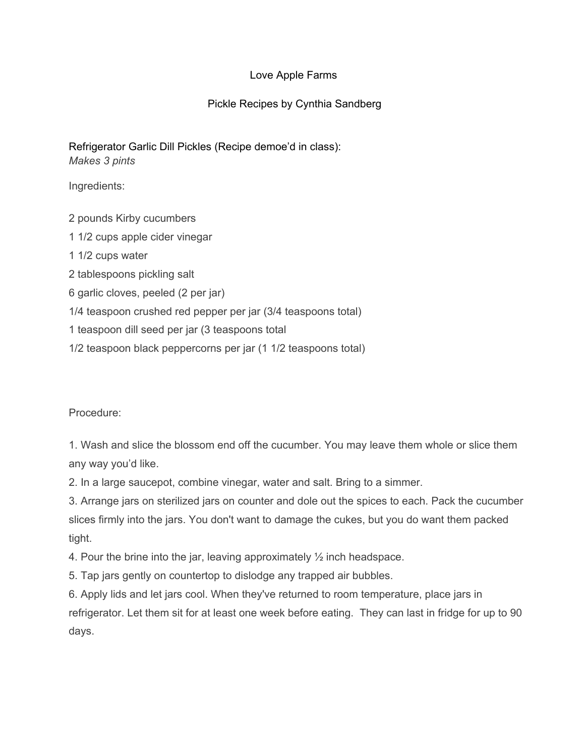## Love Apple Farms

## Pickle Recipes by Cynthia Sandberg

Refrigerator Garlic Dill Pickles (Recipe demoe'd in class): *Makes 3 pints*

Ingredients:

2 pounds Kirby cucumbers

1 1/2 cups apple cider vinegar

1 1/2 cups water

2 tablespoons pickling salt

6 garlic cloves, peeled (2 per jar)

1/4 teaspoon crushed red pepper per jar (3/4 teaspoons total)

1 teaspoon dill seed per jar (3 teaspoons total

1/2 teaspoon black peppercorns per jar (1 1/2 teaspoons total)

Procedure:

1. Wash and slice the blossom end off the cucumber. You may leave them whole or slice them any way you'd like.

2. In a large saucepot, combine vinegar, water and salt. Bring to a simmer.

3. Arrange jars on sterilized jars on counter and dole out the spices to each. Pack the cucumber slices firmly into the jars. You don't want to damage the cukes, but you do want them packed tight.

4. Pour the brine into the jar, leaving approximately ½ inch headspace.

5. Tap jars gently on countertop to dislodge any trapped air bubbles.

6. Apply lids and let jars cool. When they've returned to room temperature, place jars in refrigerator. Let them sit for at least one week before eating. They can last in fridge for up to 90 days.